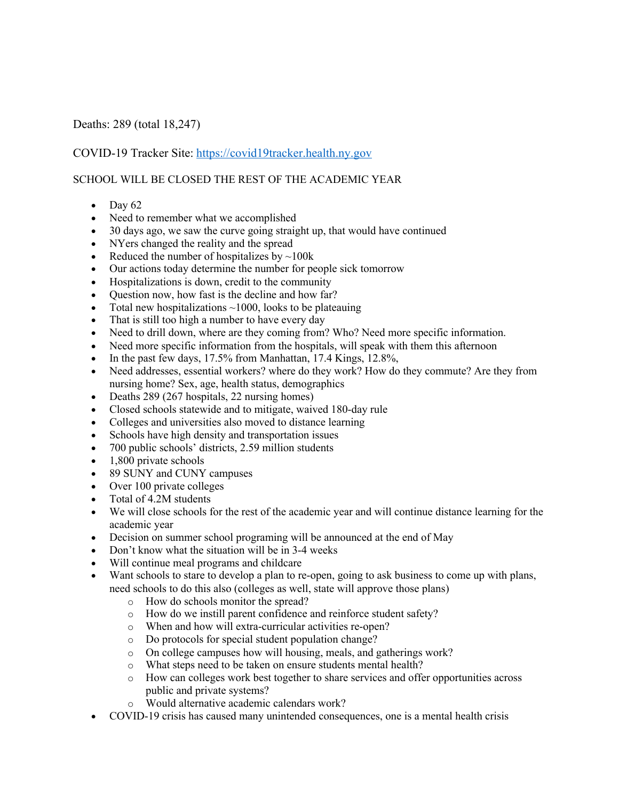## Deaths: 289 (total 18,247)

## COVID-19 Tracker Site: https://covid19tracker.health.ny.gov

## SCHOOL WILL BE CLOSED THE REST OF THE ACADEMIC YEAR

- Day  $62$
- Need to remember what we accomplished
- 30 days ago, we saw the curve going straight up, that would have continued
- NYers changed the reality and the spread
- Reduced the number of hospitalizes by  $\sim$ 100k
- Our actions today determine the number for people sick tomorrow
- Hospitalizations is down, credit to the community
- Question now, how fast is the decline and how far?
- Total new hospitalizations  $\sim$ 1000, looks to be plateauing
- That is still too high a number to have every day
- Need to drill down, where are they coming from? Who? Need more specific information.
- Need more specific information from the hospitals, will speak with them this afternoon
- In the past few days, 17.5% from Manhattan, 17.4 Kings, 12.8%,
- Need addresses, essential workers? where do they work? How do they commute? Are they from nursing home? Sex, age, health status, demographics
- Deaths 289 (267 hospitals, 22 nursing homes)
- Closed schools statewide and to mitigate, waived 180-day rule
- Colleges and universities also moved to distance learning
- Schools have high density and transportation issues
- 700 public schools' districts, 2.59 million students
- 1,800 private schools
- 89 SUNY and CUNY campuses
- Over 100 private colleges
- Total of 4.2M students
- We will close schools for the rest of the academic year and will continue distance learning for the academic year
- Decision on summer school programing will be announced at the end of May
- Don't know what the situation will be in 3-4 weeks
- Will continue meal programs and childcare
- Want schools to stare to develop a plan to re-open, going to ask business to come up with plans, need schools to do this also (colleges as well, state will approve those plans)
	- o How do schools monitor the spread?
	- o How do we instill parent confidence and reinforce student safety?
	- o When and how will extra-curricular activities re-open?
	- o Do protocols for special student population change?
	- o On college campuses how will housing, meals, and gatherings work?
	- o What steps need to be taken on ensure students mental health?
	- o How can colleges work best together to share services and offer opportunities across public and private systems?
	- o Would alternative academic calendars work?
- COVID-19 crisis has caused many unintended consequences, one is a mental health crisis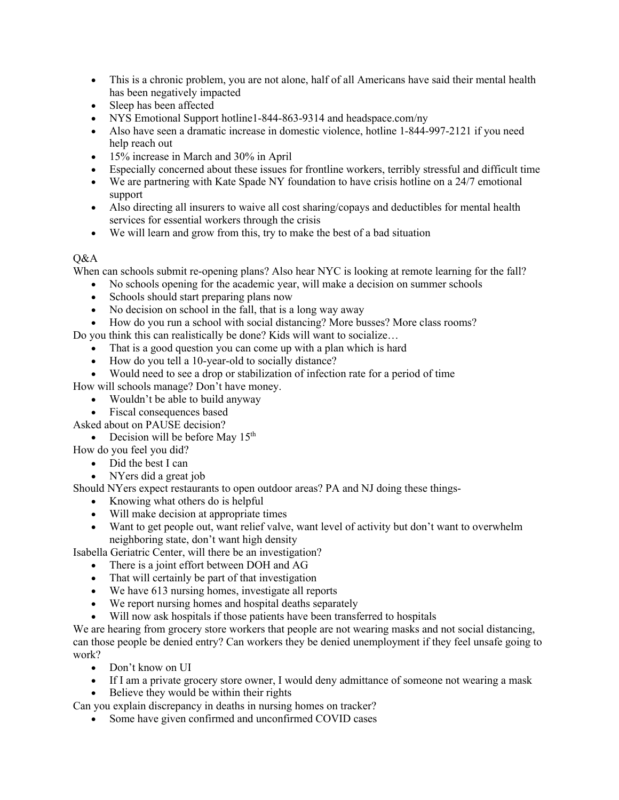- This is a chronic problem, you are not alone, half of all Americans have said their mental health has been negatively impacted
- Sleep has been affected
- NYS Emotional Support hotline1-844-863-9314 and headspace.com/ny
- Also have seen a dramatic increase in domestic violence, hotline 1-844-997-2121 if you need help reach out
- 15% increase in March and 30% in April
- Especially concerned about these issues for frontline workers, terribly stressful and difficult time
- We are partnering with Kate Spade NY foundation to have crisis hotline on a 24/7 emotional support
- Also directing all insurers to waive all cost sharing/copays and deductibles for mental health services for essential workers through the crisis
- We will learn and grow from this, try to make the best of a bad situation

## $O&A$

When can schools submit re-opening plans? Also hear NYC is looking at remote learning for the fall?

- No schools opening for the academic year, will make a decision on summer schools
- Schools should start preparing plans now
- No decision on school in the fall, that is a long way away
- How do you run a school with social distancing? More busses? More class rooms?

Do you think this can realistically be done? Kids will want to socialize…

- That is a good question you can come up with a plan which is hard
- How do you tell a 10-year-old to socially distance?
- Would need to see a drop or stabilization of infection rate for a period of time

How will schools manage? Don't have money.

- Wouldn't be able to build anyway
- Fiscal consequences based
- Asked about on PAUSE decision?
	- Decision will be before May  $15<sup>th</sup>$

How do you feel you did?

- Did the best I can
- NYers did a great job

Should NYers expect restaurants to open outdoor areas? PA and NJ doing these things-

- Knowing what others do is helpful
- Will make decision at appropriate times
- Want to get people out, want relief valve, want level of activity but don't want to overwhelm neighboring state, don't want high density

Isabella Geriatric Center, will there be an investigation?

- There is a joint effort between DOH and AG
- That will certainly be part of that investigation
- We have 613 nursing homes, investigate all reports
- We report nursing homes and hospital deaths separately
- Will now ask hospitals if those patients have been transferred to hospitals

We are hearing from grocery store workers that people are not wearing masks and not social distancing, can those people be denied entry? Can workers they be denied unemployment if they feel unsafe going to work?

- Don't know on UI
- If I am a private grocery store owner, I would deny admittance of someone not wearing a mask
- Believe they would be within their rights

Can you explain discrepancy in deaths in nursing homes on tracker?

• Some have given confirmed and unconfirmed COVID cases